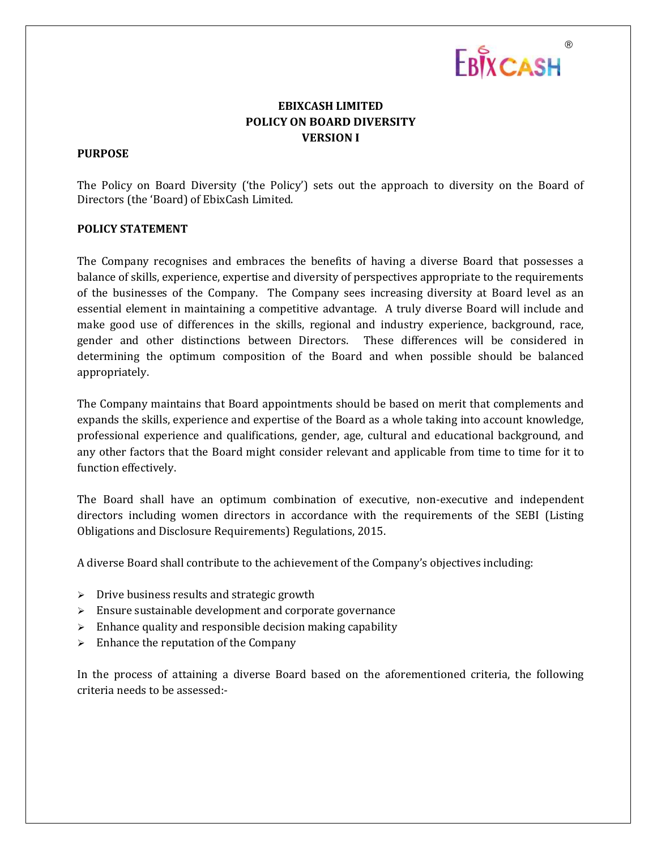

# **EBIXCASH LIMITED POLICY ON BOARD DIVERSITY VERSION I**

### **PURPOSE**

The Policy on Board Diversity ('the Policy') sets out the approach to diversity on the Board of Directors (the 'Board) of EbixCash Limited.

## **POLICY STATEMENT**

The Company recognises and embraces the benefits of having a diverse Board that possesses a balance of skills, experience, expertise and diversity of perspectives appropriate to the requirements of the businesses of the Company. The Company sees increasing diversity at Board level as an essential element in maintaining a competitive advantage. A truly diverse Board will include and make good use of differences in the skills, regional and industry experience, background, race, gender and other distinctions between Directors. These differences will be considered in determining the optimum composition of the Board and when possible should be balanced appropriately.

The Company maintains that Board appointments should be based on merit that complements and expands the skills, experience and expertise of the Board as a whole taking into account knowledge, professional experience and qualifications, gender, age, cultural and educational background, and any other factors that the Board might consider relevant and applicable from time to time for it to function effectively.

The Board shall have an optimum combination of executive, non-executive and independent directors including women directors in accordance with the requirements of the SEBI (Listing Obligations and Disclosure Requirements) Regulations, 2015.

A diverse Board shall contribute to the achievement of the Company's objectives including:

- > Drive business results and strategic growth
- $\triangleright$  Ensure sustainable development and corporate governance
- $\triangleright$  Enhance quality and responsible decision making capability
- $\triangleright$  Enhance the reputation of the Company

In the process of attaining a diverse Board based on the aforementioned criteria, the following criteria needs to be assessed:-